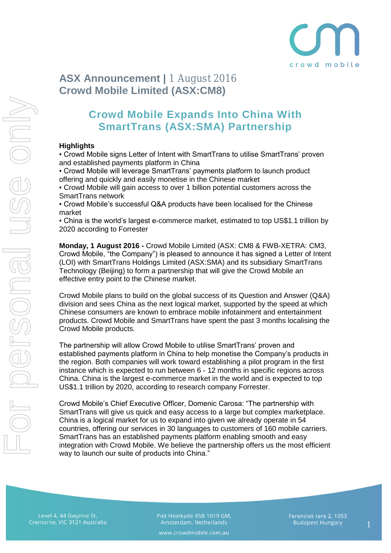

# **Crowd Mobile Expands Into China With SmartTrans (ASX:SMA) Partnership**

## **Highlights**

▪ Crowd Mobile signs Letter of Intent with SmartTrans to utilise SmartTrans' proven and established payments platform in China

▪ Crowd Mobile will leverage SmartTrans' payments platform to launch product offering and quickly and easily monetise in the Chinese market

▪ Crowd Mobile will gain access to over 1 billion potential customers across the SmartTrans network

▪ Crowd Mobile's successful Q&A products have been localised for the Chinese market

▪ China is the world's largest e-commerce market, estimated to top US\$1.1 trillion by 2020 according to Forrester

**Monday, 1 August 2016 -** Crowd Mobile Limited (ASX: CM8 & FWB-XETRA: CM3, Crowd Mobile, "the Company") is pleased to announce it has signed a Letter of Intent (LOI) with SmartTrans Holdings Limited (ASX:SMA) and its subsidiary SmartTrans Technology (Beijing) to form a partnership that will give the Crowd Mobile an effective entry point to the Chinese market.

Crowd Mobile plans to build on the global success of its Question and Answer (Q&A) division and sees China as the next logical market, supported by the speed at which Chinese consumers are known to embrace mobile infotainment and entertainment products. Crowd Mobile and SmartTrans have spent the past 3 months localising the Crowd Mobile products.

The partnership will allow Crowd Mobile to utilise SmartTrans' proven and established payments platform in China to help monetise the Company's products in the region. Both companies will work toward establishing a pilot program in the first instance which is expected to run between 6 - 12 months in specific regions across China. China is the largest e-commerce market in the world and is expected to top US\$1.1 trillion by 2020, according to research company Forrester.

Crowd Mobile's Chief Executive Officer, Domenic Carosa: "The partnership with SmartTrans will give us quick and easy access to a large but complex marketplace. China is a logical market for us to expand into given we already operate in 54 countries, offering our services in 30 languages to customers of 160 mobile carriers. SmartTrans has an established payments platform enabling smooth and easy integration with Crowd Mobile. We believe the partnership offers us the most efficient way to launch our suite of products into China."

Level 4, 44 Gwynne St, Cremorne, VIC 3121 Australia

Piet Heinkade 95B 1019 GM,

Ferenciek tere 2, 1053 **Budapest Hungary**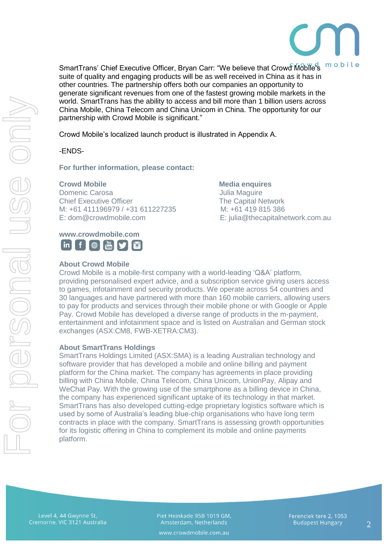

SmartTrans' Chief Executive Officer, Bryan Carr: "We believe that Crowd Mobile's mobile suite of quality and engaging products will be as well received in China as it has in other countries. The partnership offers both our companies an opportunity to generate significant revenues from one of the fastest growing mobile markets in the world. SmartTrans has the ability to access and bill more than 1 billion users across China Mobile, China Telecom and China Unicom in China. The opportunity for our partnership with Crowd Mobile is significant."

Crowd Mobile's localized launch product is illustrated in Appendix A.

-ENDS-

**For further information, please contact:**

Domenic Carosa **Maguita Maguire** Julia Maguire Chief Executive Officer The Capital Network M: +61 411196979 / +31 611227235 M: +61 419 815 386 E: dom@crowdmobile.com E: julia@thecapitalnetwork.com.au

# **Crowd Mobile Community Community Crowd Mobile Media enquires**

# **www.crowdmobile.com**

### **About Crowd Mobile**

Crowd Mobile is a mobile-first company with a world-leading 'Q&A' platform, providing personalised expert advice, and a subscription service giving users access to games, infotainment and security products. We operate across 54 countries and 30 languages and have partnered with more than 160 mobile carriers, allowing users to pay for products and services through their mobile phone or with Google or Apple Pay. Crowd Mobile has developed a diverse range of products in the m-payment, entertainment and infotainment space and is listed on Australian and German stock exchanges (ASX:CM8, FWB-XETRA:CM3).

### **About SmartTrans Holdings**

SmartTrans Holdings Limited (ASX:SMA) is a leading Australian technology and software provider that has developed a mobile and online billing and payment platform for the China market. The company has agreements in place providing billing with China Mobile, China Telecom, China Unicom, UnionPay, Alipay and WeChat Pay. With the growing use of the smartphone as a billing device in China, the company has experienced significant uptake of its technology in that market. SmartTrans has also developed cutting-edge proprietary logistics software which is used by some of Australia's leading blue-chip organisations who have long term contracts in place with the company. SmartTrans is assessing growth opportunities for its logistic offering in China to complement its mobile and online payments platform.

Level 4, 44 Gwynne St, Cremorne, VIC 3121 Australia Piet Heinkade 95B 1019 GM,

Ferenciek tere 2, 1053 **Budapest Hungary**